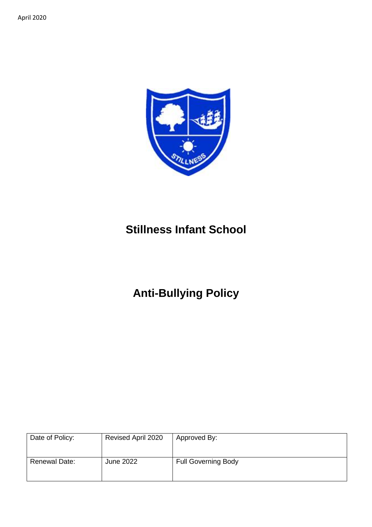

## **Stillness Infant School**

# **Anti-Bullying Policy**

| Date of Policy:      | Revised April 2020 | Approved By:               |
|----------------------|--------------------|----------------------------|
| <b>Renewal Date:</b> | June 2022          | <b>Full Governing Body</b> |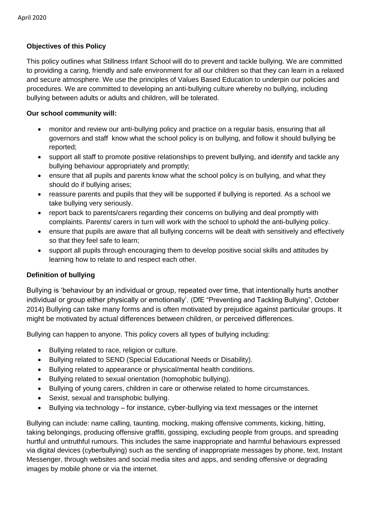## **Objectives of this Policy**

This policy outlines what Stillness Infant School will do to prevent and tackle bullying. We are committed to providing a caring, friendly and safe environment for all our children so that they can learn in a relaxed and secure atmosphere. We use the principles of Values Based Education to underpin our policies and procedures. We are committed to developing an anti-bullying culture whereby no bullying, including bullying between adults or adults and children, will be tolerated.

## **Our school community will:**

- monitor and review our anti-bullying policy and practice on a regular basis, ensuring that all governors and staff know what the school policy is on bullying, and follow it should bullying be reported;
- support all staff to promote positive relationships to prevent bullying, and identify and tackle any bullying behaviour appropriately and promptly;
- ensure that all pupils and parents know what the school policy is on bullying, and what they should do if bullying arises;
- reassure parents and pupils that they will be supported if bullying is reported. As a school we take bullying very seriously.
- report back to parents/carers regarding their concerns on bullying and deal promptly with complaints. Parents/ carers in turn will work with the school to uphold the anti-bullying policy.
- ensure that pupils are aware that all bullying concerns will be dealt with sensitively and effectively so that they feel safe to learn;
- support all pupils through encouraging them to develop positive social skills and attitudes by learning how to relate to and respect each other.

## **Definition of bullying**

Bullying is 'behaviour by an individual or group, repeated over time, that intentionally hurts another individual or group either physically or emotionally'. (DfE "Preventing and Tackling Bullying", October 2014) Bullying can take many forms and is often motivated by prejudice against particular groups. It might be motivated by actual differences between children, or perceived differences.

Bullying can happen to anyone. This policy covers all types of bullying including:

- Bullying related to race, religion or culture.
- Bullying related to SEND (Special Educational Needs or Disability).
- Bullying related to appearance or physical/mental health conditions.
- Bullying related to sexual orientation (homophobic bullying).
- Bullying of young carers, children in care or otherwise related to home circumstances.
- Sexist, sexual and transphobic bullying.
- Bullying via technology for instance, cyber-bullying via text messages or the internet

Bullying can include: name calling, taunting, mocking, making offensive comments, kicking, hitting, taking belongings, producing offensive graffiti, gossiping, excluding people from groups, and spreading hurtful and untruthful rumours. This includes the same inappropriate and harmful behaviours expressed via digital devices (cyberbullying) such as the sending of inappropriate messages by phone, text, Instant Messenger, through websites and social media sites and apps, and sending offensive or degrading images by mobile phone or via the internet.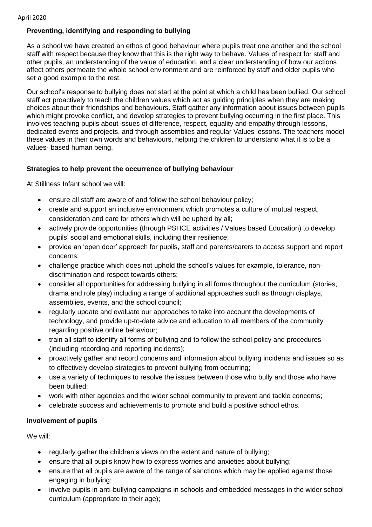## **Preventing, identifying and responding to bullying**

As a school we have created an ethos of good behaviour where pupils treat one another and the school staff with respect because they know that this is the right way to behave. Values of respect for staff and other pupils, an understanding of the value of education, and a clear understanding of how our actions affect others permeate the whole school environment and are reinforced by staff and older pupils who set a good example to the rest.

Our school's response to bullying does not start at the point at which a child has been bullied. Our school staff act proactively to teach the children values which act as guiding principles when they are making choices about their friendships and behaviours. Staff gather any information about issues between pupils which might provoke conflict, and develop strategies to prevent bullying occurring in the first place. This involves teaching pupils about issues of difference, respect, equality and empathy through lessons, dedicated events and projects, and through assemblies and regular Values lessons. The teachers model these values in their own words and behaviours, helping the children to understand what it is to be a values- based human being.

## **Strategies to help prevent the occurrence of bullying behaviour**

At Stillness Infant school we will:

- ensure all staff are aware of and follow the school behaviour policy;
- create and support an inclusive environment which promotes a culture of mutual respect, consideration and care for others which will be upheld by all;
- actively provide opportunities (through PSHCE activities / Values based Education) to develop pupils' social and emotional skills, including their resilience;
- provide an 'open door' approach for pupils, staff and parents/carers to access support and report concerns;
- challenge practice which does not uphold the school's values for example, tolerance, nondiscrimination and respect towards others;
- consider all opportunities for addressing bullying in all forms throughout the curriculum (stories, drama and role play) including a range of additional approaches such as through displays, assemblies, events, and the school council;
- regularly update and evaluate our approaches to take into account the developments of technology, and provide up-to-date advice and education to all members of the community regarding positive online behaviour;
- train all staff to identify all forms of bullying and to follow the school policy and procedures (including recording and reporting incidents);
- proactively gather and record concerns and information about bullying incidents and issues so as to effectively develop strategies to prevent bullying from occurring;
- use a variety of techniques to resolve the issues between those who bully and those who have been bullied;
- work with other agencies and the wider school community to prevent and tackle concerns;
- celebrate success and achievements to promote and build a positive school ethos.

## **Involvement of pupils**

We will:

- regularly gather the children's views on the extent and nature of bullying;
- ensure that all pupils know how to express worries and anxieties about bullying;
- ensure that all pupils are aware of the range of sanctions which may be applied against those engaging in bullying;
- involve pupils in anti-bullying campaigns in schools and embedded messages in the wider school curriculum (appropriate to their age);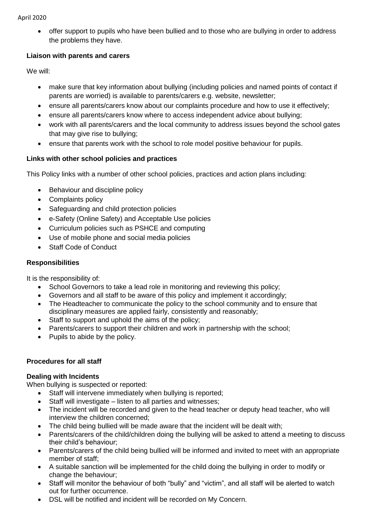#### April 2020

• offer support to pupils who have been bullied and to those who are bullying in order to address the problems they have.

## **Liaison with parents and carers**

We will:

- make sure that key information about bullying (including policies and named points of contact if parents are worried) is available to parents/carers e.g. website, newsletter;
- ensure all parents/carers know about our complaints procedure and how to use it effectively;
- ensure all parents/carers know where to access independent advice about bullying:
- work with all parents/carers and the local community to address issues beyond the school gates that may give rise to bullying;
- ensure that parents work with the school to role model positive behaviour for pupils.

## **Links with other school policies and practices**

This Policy links with a number of other school policies, practices and action plans including:

- Behaviour and discipline policy
- Complaints policy
- Safeguarding and child protection policies
- e-Safety (Online Safety) and Acceptable Use policies
- Curriculum policies such as PSHCE and computing
- Use of mobile phone and social media policies
- Staff Code of Conduct

## **Responsibilities**

It is the responsibility of:

- School Governors to take a lead role in monitoring and reviewing this policy;
- Governors and all staff to be aware of this policy and implement it accordingly;
- The Headteacher to communicate the policy to the school community and to ensure that disciplinary measures are applied fairly, consistently and reasonably;
- Staff to support and uphold the aims of the policy;
- Parents/carers to support their children and work in partnership with the school;
- Pupils to abide by the policy.

## **Procedures for all staff**

#### **Dealing with Incidents**

When bullying is suspected or reported:

- Staff will intervene immediately when bullying is reported;
- Staff will investigate listen to all parties and witnesses:
- The incident will be recorded and given to the head teacher or deputy head teacher, who will interview the children concerned;
- The child being bullied will be made aware that the incident will be dealt with;
- Parents/carers of the child/children doing the bullying will be asked to attend a meeting to discuss their child's behaviour;
- Parents/carers of the child being bullied will be informed and invited to meet with an appropriate member of staff;
- A suitable sanction will be implemented for the child doing the bullying in order to modify or change the behaviour;
- Staff will monitor the behaviour of both "bully" and "victim", and all staff will be alerted to watch out for further occurrence.
- DSL will be notified and incident will be recorded on My Concern.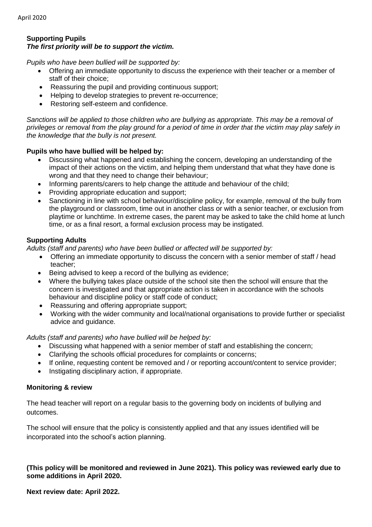#### **Supporting Pupils** *The first priority will be to support the victim.*

*Pupils who have been bullied will be supported by:*

- Offering an immediate opportunity to discuss the experience with their teacher or a member of staff of their choice;
- Reassuring the pupil and providing continuous support;
- Helping to develop strategies to prevent re-occurrence;
- Restoring self-esteem and confidence.

Sanctions will be applied to those children who are bullying as appropriate. This may be a removal of *privileges or removal from the play ground for a period of time in order that the victim may play safely in the knowledge that the bully is not present.*

### **Pupils who have bullied will be helped by:**

- Discussing what happened and establishing the concern, developing an understanding of the impact of their actions on the victim, and helping them understand that what they have done is wrong and that they need to change their behaviour;
- Informing parents/carers to help change the attitude and behaviour of the child;
- Providing appropriate education and support;
- Sanctioning in line with school behaviour/discipline policy, for example, removal of the bully from the playground or classroom, time out in another class or with a senior teacher, or exclusion from playtime or lunchtime. In extreme cases, the parent may be asked to take the child home at lunch time, or as a final resort, a formal exclusion process may be instigated.

## **Supporting Adults**

*Adults (staff and parents) who have been bullied or affected will be supported by:*

- Offering an immediate opportunity to discuss the concern with a senior member of staff / head teacher;
- Being advised to keep a record of the bullying as evidence;
- Where the bullying takes place outside of the school site then the school will ensure that the concern is investigated and that appropriate action is taken in accordance with the schools behaviour and discipline policy or staff code of conduct;
- Reassuring and offering appropriate support;
- Working with the wider community and local/national organisations to provide further or specialist advice and guidance.

#### *Adults (staff and parents) who have bullied will be helped by:*

- Discussing what happened with a senior member of staff and establishing the concern;
- Clarifying the schools official procedures for complaints or concerns;
- If online, requesting content be removed and / or reporting account/content to service provider;
- Instigating disciplinary action, if appropriate.

#### **Monitoring & review**

The head teacher will report on a regular basis to the governing body on incidents of bullying and outcomes.

The school will ensure that the policy is consistently applied and that any issues identified will be incorporated into the school's action planning.

### **(This policy will be monitored and reviewed in June 2021). This policy was reviewed early due to some additions in April 2020.**

#### **Next review date: April 2022.**